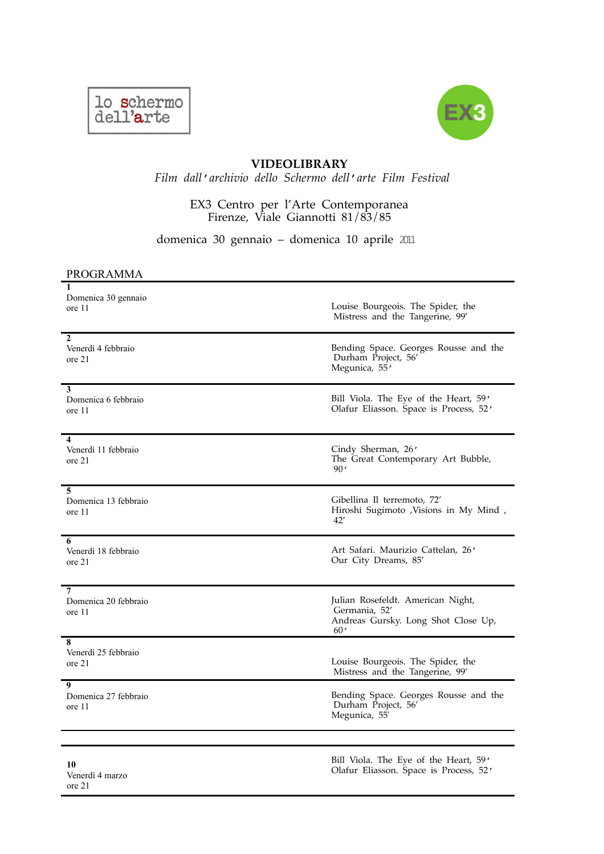



## **VIDEOLIBRARY**

*Film dall*ʹ*archivio dello Schermo dell*ʹ*arte Film Festival* 

## EX3 Centro per l'Arte Contemporanea Firenze, Viale Giannotti 81/83/85

domenica 30 gennaio – domenica 10 aprile 2011

## PROGRAMMA

ore 21

| 1<br>Domenica 30 gennaio<br>ore 11  | Louise Bourgeois. The Spider, the<br>Mistress and the Tangerine, 99'                             |
|-------------------------------------|--------------------------------------------------------------------------------------------------|
| 2                                   | Bending Space. Georges Rousse and the                                                            |
| Venerdì 4 febbraio                  | Durham Project, 56'                                                                              |
| ore 21                              | Megunica, 55'                                                                                    |
| 3<br>Domenica 6 febbraio<br>ore 11  | Bill Viola. The Eye of the Heart, 59'<br>Olafur Eliasson. Space is Process, 52'                  |
| 4                                   | Cindy Sherman, 26'                                                                               |
| Venerdì 11 febbraio                 | The Great Contemporary Art Bubble,                                                               |
| ore 21                              | 90'                                                                                              |
| 5                                   | Gibellina Il terremoto, 72'                                                                      |
| Domenica 13 febbraio                | Hiroshi Sugimoto , Visions in My Mind ,                                                          |
| ore 11                              | 42'                                                                                              |
| 6<br>Venerdì 18 febbraio<br>ore 21  | Art Safari. Maurizio Cattelan, 26'<br>Our City Dreams, 85'                                       |
| 7<br>Domenica 20 febbraio<br>ore 11 | Julian Rosefeldt. American Night,<br>Germania, 52'<br>Andreas Gursky. Long Shot Close Up,<br>60' |
| 8<br>Venerdì 25 febbraio<br>ore 21  | Louise Bourgeois. The Spider, the<br>Mistress and the Tangerine, 99'                             |
| 9                                   | Bending Space. Georges Rousse and the                                                            |
| Domenica 27 febbraio                | Durham Project, 56'                                                                              |
| ore 11                              | Megunica, 55'                                                                                    |
| 10                                  | Bill Viola. The Eye of the Heart, 59'                                                            |
| Venerdì 4 marzo                     | Olafur Eliasson. Space is Process, 52'                                                           |